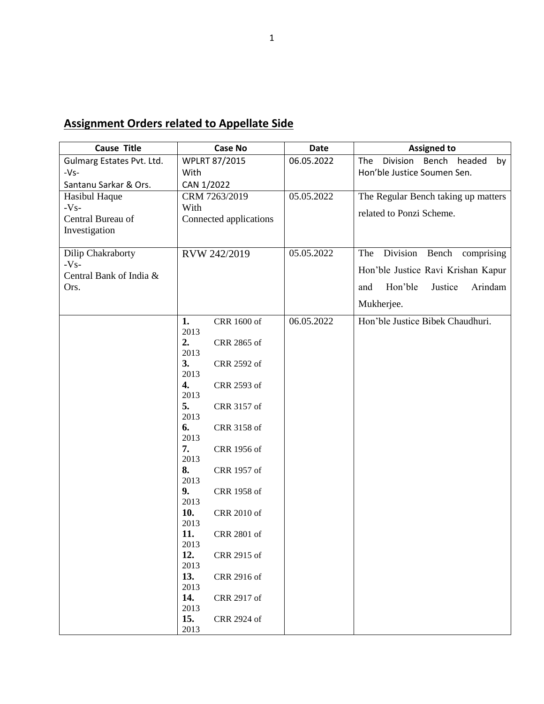## **Assignment Orders related to Appellate Side**

| <b>Cause Title</b>        | <b>Case No</b>             | <b>Date</b> | <b>Assigned to</b>                   |
|---------------------------|----------------------------|-------------|--------------------------------------|
| Gulmarg Estates Pvt. Ltd. | <b>WPLRT 87/2015</b>       | 06.05.2022  | Division Bench headed<br>The<br>by   |
| $-Vs-$                    | With                       |             | Hon'ble Justice Soumen Sen.          |
| Santanu Sarkar & Ors.     | CAN 1/2022                 |             |                                      |
| Hasibul Haque             | CRM 7263/2019              | 05.05.2022  | The Regular Bench taking up matters  |
| $-Vs-$                    | With                       |             |                                      |
| Central Bureau of         | Connected applications     |             | related to Ponzi Scheme.             |
| Investigation             |                            |             |                                      |
| Dilip Chakraborty         | RVW 242/2019               | 05.05.2022  | Division<br>The<br>Bench comprising  |
| $-Vs-$                    |                            |             |                                      |
| Central Bank of India &   |                            |             | Hon'ble Justice Ravi Krishan Kapur   |
| Ors.                      |                            |             | Hon'ble<br>Arindam<br>Justice<br>and |
|                           |                            |             | Mukherjee.                           |
|                           | 1.<br>CRR 1600 of          | 06.05.2022  | Hon'ble Justice Bibek Chaudhuri.     |
|                           | 2013<br>2.<br>CRR 2865 of  |             |                                      |
|                           | 2013                       |             |                                      |
|                           | 3.<br>CRR 2592 of          |             |                                      |
|                           | 2013                       |             |                                      |
|                           | 4.<br>CRR 2593 of          |             |                                      |
|                           | 2013                       |             |                                      |
|                           | 5.<br>CRR 3157 of          |             |                                      |
|                           | 2013                       |             |                                      |
|                           | 6.<br>CRR 3158 of<br>2013  |             |                                      |
|                           | 7.<br>CRR 1956 of          |             |                                      |
|                           | 2013                       |             |                                      |
|                           | 8.<br>CRR 1957 of          |             |                                      |
|                           | 2013                       |             |                                      |
|                           | 9.<br>CRR 1958 of          |             |                                      |
|                           | 2013                       |             |                                      |
|                           | 10.<br>CRR 2010 of         |             |                                      |
|                           | 2013                       |             |                                      |
|                           | 11.<br>CRR 2801 of<br>2013 |             |                                      |
|                           | 12.<br>CRR 2915 of         |             |                                      |
|                           | 2013                       |             |                                      |
|                           | 13.<br>CRR 2916 of         |             |                                      |
|                           | 2013                       |             |                                      |
|                           | 14.<br>CRR 2917 of         |             |                                      |
|                           | 2013                       |             |                                      |
|                           | 15.<br>CRR 2924 of         |             |                                      |
|                           | 2013                       |             |                                      |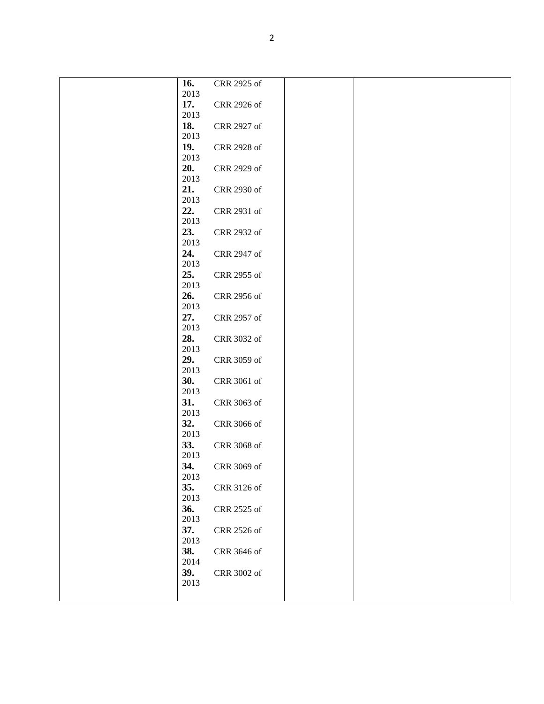| 16.         | CRR 2925 of |  |
|-------------|-------------|--|
| 2013        |             |  |
| 17.<br>2013 | CRR 2926 of |  |
| 18.         | CRR 2927 of |  |
| 2013        |             |  |
| 19.         | CRR 2928 of |  |
| 2013        |             |  |
| 20.         | CRR 2929 of |  |
| 2013        |             |  |
| 21.         | CRR 2930 of |  |
| 2013        |             |  |
| 22.         | CRR 2931 of |  |
| 2013        |             |  |
| 23.         | CRR 2932 of |  |
| 2013        |             |  |
| 24.<br>2013 | CRR 2947 of |  |
| 25.         | CRR 2955 of |  |
| 2013        |             |  |
| 26.         | CRR 2956 of |  |
| 2013        |             |  |
| 27.         | CRR 2957 of |  |
| 2013        |             |  |
| 28.         | CRR 3032 of |  |
| 2013        |             |  |
| 29.         | CRR 3059 of |  |
| 2013        |             |  |
| 30.<br>2013 | CRR 3061 of |  |
| 31.         | CRR 3063 of |  |
| 2013        |             |  |
| 32.         | CRR 3066 of |  |
| 2013        |             |  |
| 33.         | CRR 3068 of |  |
| 2013        |             |  |
| 34.         | CRR 3069 of |  |
| 2013        |             |  |
| 35.         | CRR 3126 of |  |
| 2013        |             |  |
| 36.<br>2013 | CRR 2525 of |  |
| 37.         | CRR 2526 of |  |
| 2013        |             |  |
| 38.         | CRR 3646 of |  |
| 2014        |             |  |
| 39.         | CRR 3002 of |  |
| 2013        |             |  |
|             |             |  |